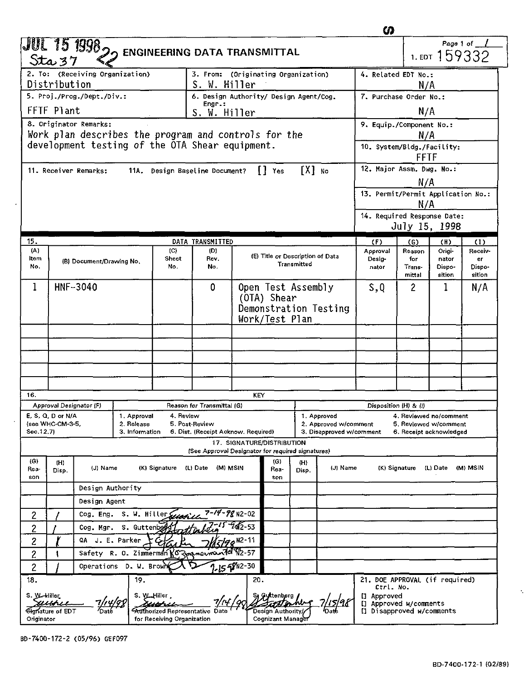|                                                                                                                                                                                                                                  |                                                                                               |                                                |  |                                                                              |                                                            |                    |                                                 |                                  |                                   |                          | ഗ                                             |                     |                  |               |  |
|----------------------------------------------------------------------------------------------------------------------------------------------------------------------------------------------------------------------------------|-----------------------------------------------------------------------------------------------|------------------------------------------------|--|------------------------------------------------------------------------------|------------------------------------------------------------|--------------------|-------------------------------------------------|----------------------------------|-----------------------------------|--------------------------|-----------------------------------------------|---------------------|------------------|---------------|--|
|                                                                                                                                                                                                                                  | Sta 37                                                                                        | JUL 15 1998 <sub>20</sub>                      |  |                                                                              | <b>ENGINEERING DATA TRANSMITTAL</b>                        |                    |                                                 |                                  |                                   |                          |                                               |                     | 1. EDT 159332    | Page 1 of     |  |
| 2. To: (Receiving Organization)<br>Distribution<br>S. W. Hiller                                                                                                                                                                  |                                                                                               |                                                |  |                                                                              | 3. From: (Originating Organization)<br>4. Related EDT No.: |                    |                                                 |                                  | N/A                               |                          |                                               |                     |                  |               |  |
| 5. Proj./Prog./Dept./Div.:                                                                                                                                                                                                       |                                                                                               |                                                |  |                                                                              | 6. Design Authority/ Design Agent/Cog.                     |                    |                                                 |                                  | 7. Purchase Order No.:            |                          |                                               |                     |                  |               |  |
| Engr.:<br>FFTF Plant<br>S. W. <u>H</u> iller                                                                                                                                                                                     |                                                                                               |                                                |  |                                                                              |                                                            |                    |                                                 |                                  |                                   |                          | N/A                                           |                     |                  |               |  |
| 8. Originator Remarks:                                                                                                                                                                                                           |                                                                                               |                                                |  |                                                                              |                                                            |                    |                                                 |                                  |                                   | 9. Equip./Component No.: |                                               |                     |                  |               |  |
| Work plan describes the program and controls for the<br>development testing of the OTA Shear equipment.                                                                                                                          |                                                                                               |                                                |  |                                                                              |                                                            |                    |                                                 |                                  | N/A<br>10. System/Bldg./Facility: |                          |                                               |                     |                  |               |  |
|                                                                                                                                                                                                                                  |                                                                                               |                                                |  |                                                                              |                                                            |                    |                                                 |                                  |                                   |                          |                                               | FFTF                |                  |               |  |
|                                                                                                                                                                                                                                  |                                                                                               | 11. Receiver Remarks:                          |  |                                                                              | 11A. Design Baseline Document?                             |                    | ∏ Yes                                           |                                  | $[X]$ No                          |                          | 12. Major Assm. Dwg. No.:                     |                     |                  |               |  |
|                                                                                                                                                                                                                                  |                                                                                               |                                                |  |                                                                              |                                                            |                    |                                                 |                                  |                                   |                          |                                               | N/A                 |                  |               |  |
|                                                                                                                                                                                                                                  |                                                                                               |                                                |  |                                                                              |                                                            |                    |                                                 |                                  |                                   |                          | 13. Permit/Permit Application No.:            |                     |                  |               |  |
|                                                                                                                                                                                                                                  |                                                                                               |                                                |  |                                                                              |                                                            |                    |                                                 |                                  |                                   |                          | N/A<br>14. Required Response Date:            |                     |                  |               |  |
|                                                                                                                                                                                                                                  |                                                                                               |                                                |  |                                                                              |                                                            |                    |                                                 |                                  |                                   |                          |                                               | July 15, 1998       |                  |               |  |
| 15.                                                                                                                                                                                                                              |                                                                                               |                                                |  |                                                                              | DATA TRANSMITTED                                           |                    |                                                 |                                  |                                   |                          | (F)                                           | (G)                 | (H)              | (1)           |  |
| (A)<br>Item                                                                                                                                                                                                                      |                                                                                               | (B) Document/Drawing No.                       |  | (C)<br>Sheet                                                                 | (D)<br>Rev.                                                |                    |                                                 | (E) Title or Description of Data |                                   |                          | Approval<br>Desig-                            | Reason<br>for       | Origi-<br>nator  | Receiv-<br>er |  |
| No.                                                                                                                                                                                                                              |                                                                                               |                                                |  | No.                                                                          | No.                                                        | Transmitted        |                                                 |                                  |                                   | nator                    | Trans-<br>mittal                              | Dispo-<br>sition    | Dispo-<br>sition |               |  |
| 1<br>HNF-3040                                                                                                                                                                                                                    |                                                                                               |                                                |  |                                                                              | 0                                                          | Open Test Assembly |                                                 |                                  |                                   | s,q                      | $\mathbf{2}$                                  | 1                   | N/A              |               |  |
|                                                                                                                                                                                                                                  |                                                                                               |                                                |  |                                                                              |                                                            | (OTA) Shear        |                                                 |                                  |                                   |                          |                                               |                     |                  |               |  |
|                                                                                                                                                                                                                                  |                                                                                               |                                                |  |                                                                              | Demonstration Testing                                      |                    |                                                 |                                  |                                   |                          |                                               |                     |                  |               |  |
|                                                                                                                                                                                                                                  | Work/Test Plan                                                                                |                                                |  |                                                                              |                                                            |                    |                                                 |                                  |                                   |                          |                                               |                     |                  |               |  |
|                                                                                                                                                                                                                                  |                                                                                               |                                                |  |                                                                              |                                                            |                    |                                                 |                                  |                                   |                          |                                               |                     |                  |               |  |
|                                                                                                                                                                                                                                  |                                                                                               |                                                |  |                                                                              |                                                            |                    |                                                 |                                  |                                   |                          |                                               |                     |                  |               |  |
|                                                                                                                                                                                                                                  |                                                                                               |                                                |  |                                                                              |                                                            |                    |                                                 |                                  |                                   |                          |                                               |                     |                  |               |  |
|                                                                                                                                                                                                                                  |                                                                                               |                                                |  |                                                                              |                                                            |                    |                                                 |                                  |                                   |                          |                                               |                     |                  |               |  |
| 16.                                                                                                                                                                                                                              |                                                                                               |                                                |  |                                                                              |                                                            | KEY                |                                                 |                                  |                                   |                          |                                               |                     |                  |               |  |
| Approval Designator (F)<br>Reason for Transmittal (G)<br>E, S, Q, D or N/A<br>1. Approval<br>4. Review                                                                                                                           |                                                                                               |                                                |  |                                                                              |                                                            | 1. Approved        | Disposition (H) & (I)<br>4. Reviewed no/comment |                                  |                                   |                          |                                               |                     |                  |               |  |
| (see WHC-CM-3-5,<br>2. Release<br>5. Post-Review<br>2. Approved w/comment<br>5. Reviewed w/comment<br>3. Information<br>Sec. 12.7)<br>6. Dist. (Receipt Acknow. Required)<br>3. Disapproved w/comment<br>6. Receipt acknowledged |                                                                                               |                                                |  |                                                                              |                                                            |                    |                                                 |                                  |                                   |                          |                                               |                     |                  |               |  |
|                                                                                                                                                                                                                                  |                                                                                               |                                                |  |                                                                              |                                                            |                    | 17. SIGNATURE/DISTRIBUTION                      |                                  |                                   |                          |                                               |                     |                  |               |  |
| (G)                                                                                                                                                                                                                              | (H)                                                                                           |                                                |  |                                                                              | (See Approval Designator for required signatures)          |                    | (G)                                             | (H)                              |                                   |                          |                                               |                     |                  |               |  |
| Rea-<br>son                                                                                                                                                                                                                      | Disp.                                                                                         | (L) Date (M) MSIN<br>(J) Name<br>(K) Signature |  |                                                                              | Rea-<br>son                                                | Disp.              |                                                 | (J) Name                         |                                   | (K) Signature            | (L) Date (M) MSIN                             |                     |                  |               |  |
|                                                                                                                                                                                                                                  |                                                                                               | Design Authority                               |  |                                                                              |                                                            |                    |                                                 |                                  |                                   |                          |                                               |                     |                  |               |  |
|                                                                                                                                                                                                                                  |                                                                                               | Design Agent                                   |  |                                                                              |                                                            |                    |                                                 |                                  |                                   |                          |                                               |                     |                  |               |  |
| $\overline{c}$                                                                                                                                                                                                                   |                                                                                               | 7-14-98 n2-02<br>S. W. Hiller<br>Cog. Eng.     |  |                                                                              |                                                            |                    |                                                 |                                  |                                   |                          |                                               |                     |                  |               |  |
| 2                                                                                                                                                                                                                                |                                                                                               | $15 - 962 - 53$<br>Cog. Mgr.<br>S. Guttenbe    |  |                                                                              |                                                            |                    |                                                 |                                  |                                   |                          |                                               |                     |                  |               |  |
| 2                                                                                                                                                                                                                                | QA<br>J. E. Parker<br>$90^{12-11}$                                                            |                                                |  |                                                                              |                                                            |                    |                                                 |                                  |                                   |                          |                                               |                     |                  |               |  |
| 2                                                                                                                                                                                                                                | $maA482-57$<br>Safety<br>R. O. Zimmerman<br>'σ<br>ŧ<br>Operations D.W. Brown<br>$1 - 15 - 20$ |                                                |  |                                                                              |                                                            |                    |                                                 |                                  |                                   |                          |                                               |                     |                  |               |  |
| 2                                                                                                                                                                                                                                |                                                                                               |                                                |  |                                                                              |                                                            |                    |                                                 |                                  |                                   |                          |                                               |                     |                  |               |  |
| 18.<br>19.<br>20.<br>21. DOE APPROVAL (if required)<br>Ctrl. No.                                                                                                                                                                 |                                                                                               |                                                |  |                                                                              |                                                            |                    |                                                 |                                  |                                   |                          |                                               |                     |                  |               |  |
| S. W-Hiller<br>Originator                                                                                                                                                                                                        | wun<br><del>Sign</del> ature of EDT                                                           |                                                |  | S. W. Hiller<br>Authorized Representative Date<br>for Receiving Organization |                                                            |                    | Design Authority/<br>Cognizant Manage           |                                  |                                   |                          | [] Approved<br>u<br>[] Disapproved w/comments | Approved w/comments |                  |               |  |

BD-7400-172-2 (05/96) GEF097

k,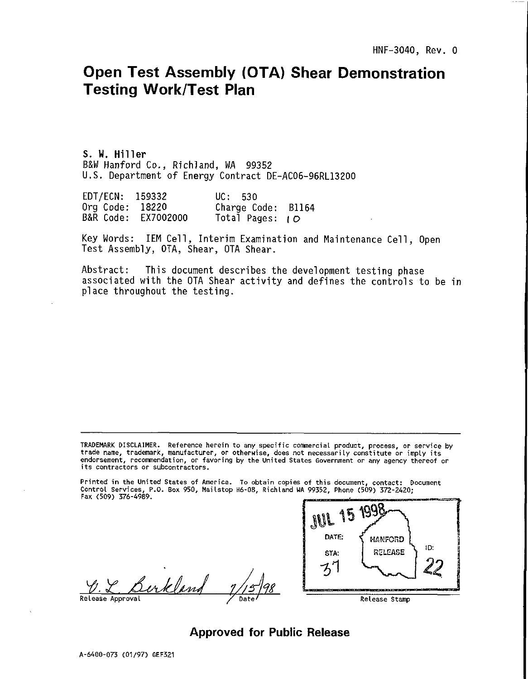# Open Test Assembly (OTA) Shear Demonstration Testing Work/Test Plan

**S. W. Hiller** B&W Hanford Co., Richland, WA 99352 U.S. Department of Energy Contract DE-AC06-96RL13200

EDT/ECN: 159332 UC: 530 Org Code: 18220 Charge Code: B1164<br>B&R Code: FX7002000 Total Pages: LO Total Pages:  $\overline{1}$ 

Key Words: IEM Cell, Interim Examination and Maintenance Cell, Open Test Assembly, OTA, Shear, OTA Shear.

Abstract: This document describes the development testing phase associated with the OTA Shear activity and defines the controls to be in place throughout the testing.

TRADEMARK DISCLAIMER. Reference herein to any specific comnercial product, process, or service by trade name, trademark, manufacturer, or otherwise, does not necessarily constitute or imply its endorsement, recommendation, or favoring by the United States Government or any agency thereof or its contractors or subcontractors.

Printed in the United States of America. To obtain copies of this document, contact: Document Control Services, P.O. Box 950, Mailstop H6-08, Richland UA 99352, Phone (509) 372-2420; Fax (509) 376-4989.

<u>Burkland  $7/15/98$  Contents</u>



Approved for Public Release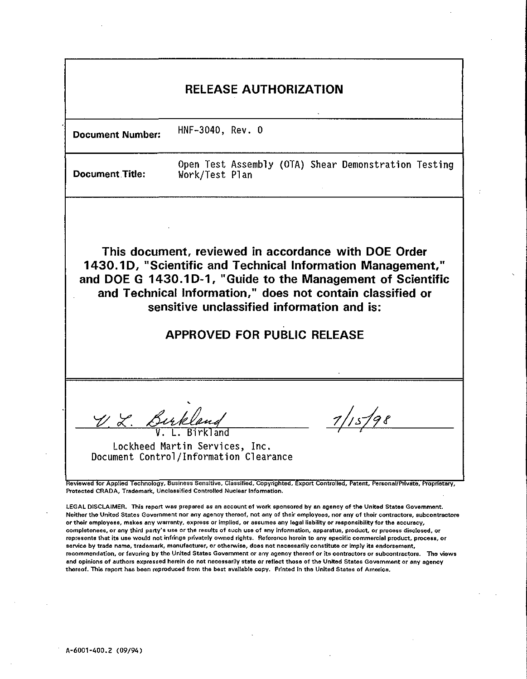| <b>RELEASE AUTHORIZATION</b>                                                                                                                                                                                                                                                                                                                                                                                                                             |                                                                        |  |  |  |  |  |
|----------------------------------------------------------------------------------------------------------------------------------------------------------------------------------------------------------------------------------------------------------------------------------------------------------------------------------------------------------------------------------------------------------------------------------------------------------|------------------------------------------------------------------------|--|--|--|--|--|
| <b>Document Number:</b>                                                                                                                                                                                                                                                                                                                                                                                                                                  | HNF-3040, Rev. 0                                                       |  |  |  |  |  |
| <b>Document Title:</b>                                                                                                                                                                                                                                                                                                                                                                                                                                   | Open Test Assembly (OTA) Shear Demonstration Testing<br>Work/Test Plan |  |  |  |  |  |
| This document, reviewed in accordance with DOE Order<br>1430.1D, "Scientific and Technical Information Management,"<br>and DOE G 1430.1D-1, "Guide to the Management of Scientific<br>and Technical Information," does not contain classified or<br>sensitive unclassified information and is:<br><b>APPROVED FOR PUBLIC RELEASE</b>                                                                                                                     |                                                                        |  |  |  |  |  |
| 7/15/98<br>V. L. Burkland<br>Lockheed Martin Services, Inc.<br>Document Control/Information Clearance<br>Reviewed for Applied Technology, Business Sensitive, Classified, Copyrighted, Export Controlled, Patent, Personal/Private, Proprietary,<br>Protected CRADA, Trademark, Unclassified Controlled Nuclear Information.<br>LEGAL DISCLAIMER. This report was prepared as an account of work sponsored by an agency of the United States Government. |                                                                        |  |  |  |  |  |
| Neither the United States Government nor any agency thereof, not any of their employees, nor any of their contractors, subcontractore<br>or their employees, makes any warranty, express or implied, or assumes any legal liability or responsibility for the accuracy,<br>completenees, or any third party's use or the results of such use of any information, apparatue, product, or process disclosed, or                                            |                                                                        |  |  |  |  |  |

represents that its use would not infringe privately owned rights. Reference herein to any specific commercial product, process, or service by trade name, trademark, manufacturer, or otherwise, does not necessarily constitute or imply its endorsement, recommendation, or favoring by the United States Government or any agency thereof or its contractors or subcontractors. The views and opinions of authors expressed herein do not necessarily state or reflect those of the United States Government or any agency thereof. This report has been reproduced from the best available copy. Printed in the United States of America.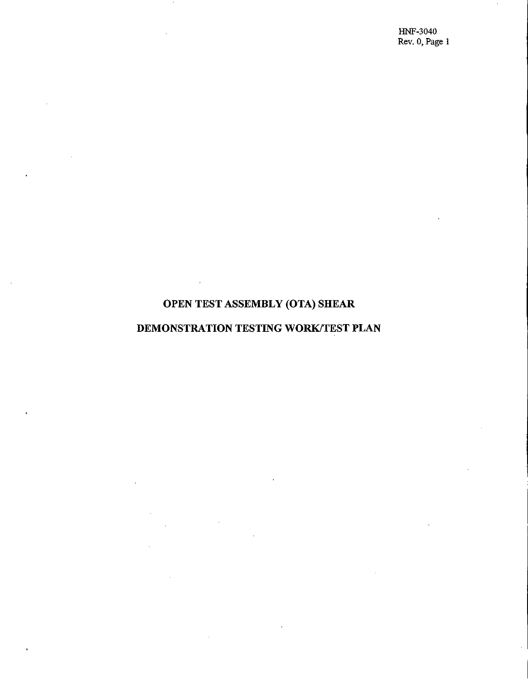HNF-3040 Rev. 0, Page 1

# OPEN TEST ASSEMBLY (OTA) SHEAR

# DEMONSTRATION TESTING WORK/TEST PLAN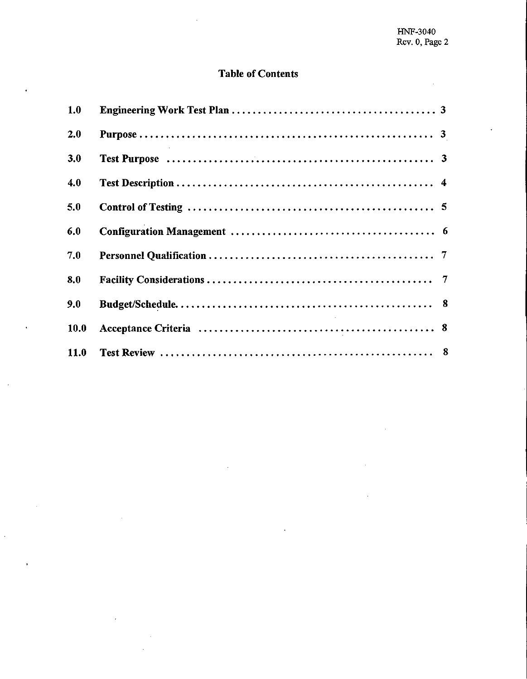# **Table of Contents**

 $\ddot{\phantom{a}}$ 

| 1.0  |  |
|------|--|
| 2.0  |  |
| 3.0  |  |
| 4.0  |  |
| 5.0  |  |
| 6.0  |  |
| 7.0  |  |
| 8.0  |  |
| 9.0  |  |
| 10.0 |  |
| 11.0 |  |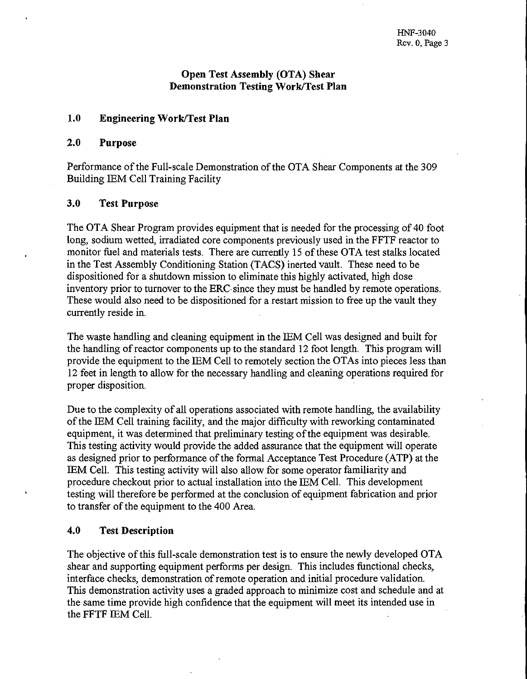# **Open Test Assembly (OTA) Shear Demonstration Testing Work/Test Plan**

# **1.0 Engineering Work/Test Plan**

#### **2.0 Purpose**

Performance of the Full-scale Demonstration of the OTA Shear Components at the 309 Building IEM Cell Training Facility

# **3.0 Test Purpose**

The OTA Shear Program provides equipment that is needed for the processing of 40 foot long, sodium wetted, irradiated core components previously used in the FFTF reactor to monitor fuel and materials tests. There are currently 15 of these OTA test stalks located in the Test Assembly Conditioning Station (TACS) inerted vault. These need to be dispositioned for a shutdown mission to eliminate this highly activated, high dose inventory prior to turnover to the ERC since they must be handled by remote operations. These would also need to be dispositioned for a restart mission to free up the vault they currently reside in.

The waste handling and cleaning equipment in the IEM Cell was designed and built for the handling of reactor components up to the standard 12 foot length. This program will provide the equipment to the IEM Cell to remotely section the OTAs into pieces less than 12 feet in length to allow for the necessary handling and cleaning operations required for proper disposition.

Due to the complexity of all operations associated with remote handling, the availability of the IEM Cell training facility, and the major difficulty with reworking contaminated equipment, it was determined that preliminary testing of the equipment was desirable. This testing activity would provide the added assurance that the equipment will operate as designed prior to performance of the formal Acceptance Test Procedure (ATP) at the IEM Cell. This testing activity will also allow for some operator familiarity and procedure checkout prior to actual installation into the IEM Cell. This development testing will therefore be performed at the conclusion of equipment fabrication and prior to transfer of the equipment to the 400 Area.

# **4.0 Test Description**

The objective of this full-scale demonstration test is to ensure the newly developed OTA shear and supporting equipment performs per design. This includes functional checks, interface checks, demonstration of remote operation and initial procedure validation. This demonstration activity uses a graded approach to minimize cost and schedule and at the same time provide high confidence that the equipment will meet its intended use in the FFTF IEM Cell.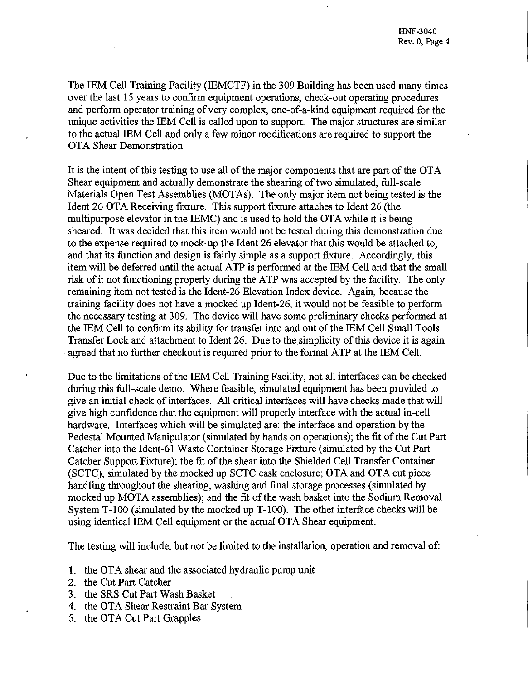The IEM Cell Training Facility (IEMCTF) in the 309 Building has been used many times over the last 15 years to confirm equipment operations, check-out operating procedures and perform operator training of very complex, one-of-a-kind equipment required for the unique activities the IEM Cell is called upon to support. The major structures are similar to the actual IEM Cell and only a few minor modifications are required to support the OTA Shear Demonstration.

It is the intent of this testing to use all of the major components that are part of the OTA Shear equipment and actually demonstrate the shearing of two simulated, full-scale Materials Open Test Assemblies (MOTAs). The only major item not being tested is the Ident 26 OTA Receiving fixture. This support fixture attaches to Ident 26 (the multipurpose elevator in the EEMC) and is used to hold the OTA while it is being sheared. It was decided that this item would not be tested during this demonstration due to the expense required to mock-up the Ident 26 elevator that this would be attached to, and that its function and design is fairly simple as a support fixture. Accordingly, this item will be deferred until the actual ATP is performed at the IEM Cell and that the small risk of it not functioning properly during the ATP was accepted by the facility. The only remaining item not tested is the Ident-26 Elevation Index device. Again, because the training facility does not have a mocked up Ident-26, it would not be feasible to perform the necessary testing at 309. The device will have some preliminary checks performed at the IEM Cell to confirm its ability for transfer into and out of the IEM Cell Small Tools Transfer Lock and attachment to Ident 26. Due to the simplicity of this device it is again agreed that no further checkout is required prior to the formal ATP at the IEM Cell.

Due to the limitations of the IEM Cell Training Facility, not all interfaces can be checked during this full-scale demo. Where feasible, simulated equipment has been provided to give an initial check of interfaces. All critical interfaces will have checks made that will give high confidence that the equipment will properly interface with the actual in-cell hardware. Interfaces which will be simulated are: the interface and operation by the Pedestal Mounted Manipulator (simulated by hands on operations); the fit of the Cut Part Catcher into the Ident-61 Waste Container Storage Fixture (simulated by the Cut Part Catcher Support Fixture); the fit of the shear into the Shielded Cell Transfer Container (SCTC), simulated by the mocked up SCTC cask enclosure; OTA and OTA cut piece handling throughout the shearing, washing and final storage processes (simulated by mocked up MOTA assemblies); and the fit of the wash basket into the Sodium Removal System T-100 (simulated by the mocked up T-100). The other interface checks will be using identical IEM Cell equipment or the actual OTA Shear equipment.

The testing will include, but not be limited to the installation, operation and removal of:

- 1. the OTA shear and the associated hydraulic pump unit
- 2. the Cut Part Catcher
- 3. the SRS Cut Part Wash Basket .
- 4. the OTA Shear Restraint Bar System
- 5. the OTA Cut Part Grapples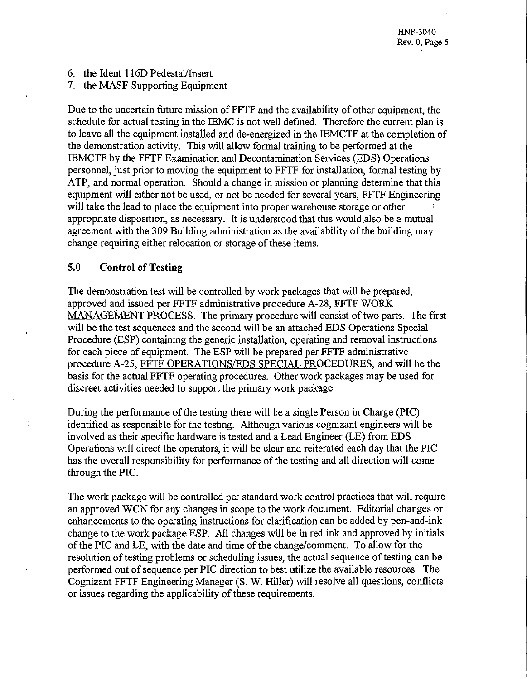- 6. the Ident 116D Pedestal/Insert
- 7. the MASF Supporting Equipment

Due to the uncertain future mission of FFTF and the availability of other equipment, the schedule for actual testing in the IEMC is not well defined. Therefore the current plan is to leave all the equipment installed and de-energized in the IEMCTF at the completion of the demonstration activity. This will allow formal training to be performed at the IEMCTF by the FFTF Examination and Decontamination Services (EDS) Operations personnel, just prior to moving the equipment to FFTF for installation, formal testing by ATP, and normal operation. Should a change in mission or planning determine that this equipment will either not be used, or not be needed for several years, FFTF Engineering will take the lead to place the equipment into proper warehouse storage or other appropriate disposition, as necessary. It is understood that this would also be a mutual agreement with the 309 Building administration as the availability of the building may change requiring either relocation or storage of these items.

### **5.0 Control of Testing**

The demonstration test will be controlled by work packages that will be prepared, approved and issued per FFTF administrative procedure A-28, FFTF WORK MANAGEMENT PROCESS. The primary procedure will consist of two parts. The first will be the test sequences and the second will be an attached EDS Operations Special Procedure (ESP) containing the generic installation, operating and removal instructions for each piece of equipment. The ESP will be prepared per FFTF administrative procedure A-25, FFTF OPERATIONS/EDS SPECIAL PROCEDURES, and will be the basis for the actual FFTF operating procedures. Other work packages may be used for discreet activities needed to support the primary work package.

During the performance of the testing there will be a single Person in Charge (PIC) identified as responsible for the testing. Although various cognizant engineers will be involved as their specific hardware is tested and a Lead Engineer (LE) from EDS Operations will direct the operators, it will be clear and reiterated each day that the PIC has the overall responsibility for performance of the testing and all direction will come through the PIC.

The work package will be controlled per standard work control practices that will require an approved WCN for any changes in scope to the work document. Editorial changes or enhancements to the operating instructions for clarification can be added by pen-and-ink change to the work package ESP. All changes will be in red ink and approved by initials of the PIC and LE, with the date and time of the change/comment. To allow for the resolution of testing problems or scheduling issues, the actual sequence of testing can be performed out of sequence per PIC direction to best utilize the available resources. The Cognizant FFTF Engineering Manager (S. W. Hiller) will resolve all questions, conflicts or issues regarding the applicability of these requirements.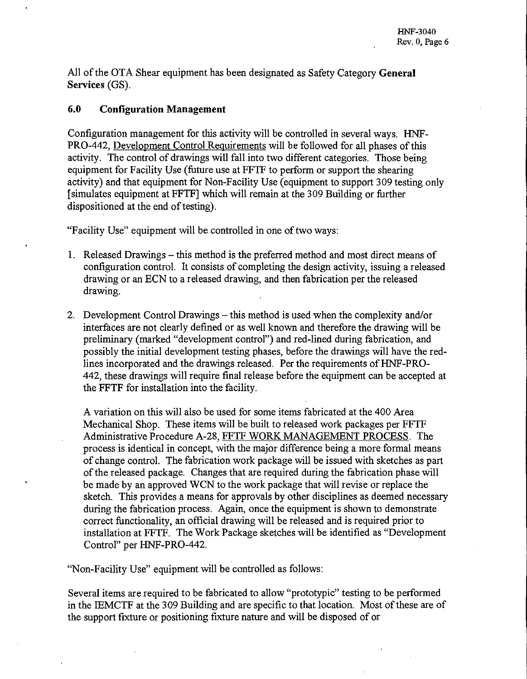All of the OTA Shear equipment has been designated as Safety Category **General Services (GS).**

# **6.0 Configuration Management**

Configuration management for this activity will be controlled in several ways. HNF-PRO-442, Development Control Requirements will be followed for all phases of this activity. The control of drawings will fall into two different categories. Those being equipment for Facility Use (future use at FFTF to perform or support the shearing activity) and that equipment for Non-Facility Use (equipment to support 309 testing only [simulates equipment at FFTF] which will remain at the 309 Building or further dispositioned at the end of testing).

"Facility Use" equipment will be controlled in one of two ways:

- 1. Released Drawings this method is the preferred method and most direct means of configuration control. It consists of completing the design activity, issuing a released drawing or an ECN to a released drawing, and then fabrication per the released drawing.
- 2. Development Control Drawings this method is used when the complexity and/or interfaces are not clearly defined or as well known and therefore the drawing will be preliminary (marked "development control") and red-lined during fabrication, and possibly the initial development testing phases, before the drawings will have the redlines incorporated and the drawings released. Per the requirements of HNF-PRO-442, these drawings will require final release before the equipment can be accepted at the FFTF for installation into the facility.

A variation on this will also be used for some items fabricated at the 400 Area Mechanical Shop. These items will be built to released work packages per FFTF Administrative Procedure A-28. FFTF WORK MANAGEMENT PROCESS. The process is identical in concept, with the major difference being a more formal means of change control. The fabrication work package will be issued with sketches as part of the released package. Changes that are required during the fabrication phase will be made by an approved WCN to the work package that will revise or replace the sketch. This provides a means for approvals by other disciplines as deemed necessary during the fabrication process. Again, once the equipment is shown to demonstrate correct functionality, an official drawing will be released and is required prior to installation at FFTF. The Work Package sketches will be identified as "Development Control" per HNF-PRO-442.

"Non-Facility Use" equipment will be controlled as follows:

Several items are required to be fabricated to allow "prototypic" testing to be performed in the IEMCTF at the 309 Building and are specific to that location. Most of these are of the support fixture or positioning fixture nature and will be disposed of or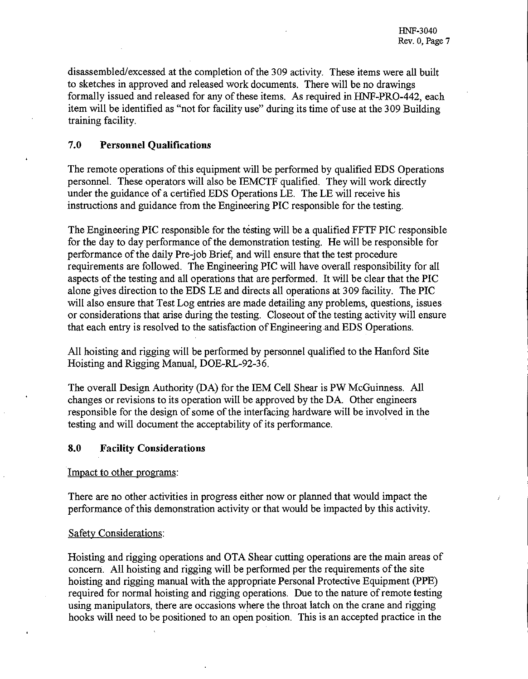disassembled/excessed at the completion of the 309 activity. These items were all built to sketches in approved and released work documents. There will be no drawings formally issued and released for any of these items. As required in HNF-PRO-442, each item will be identified as "not for facility use" during its time of use at the 309 Building training facility.

# 7.0 **Personnel Qualifications**

The remote operations of this equipment will be performed by qualified EDS Operations personnel. These operators will also be EEMCTF qualified. They will work directly under the guidance of a certified EDS Operations LE. The LE will receive his instructions and guidance from the Engineering PIC responsible for the testing.

The Engineering PIC responsible for the testing will be a qualified FFTF PIC responsible for the day to day performance of the demonstration testing. He will be responsible for performance of the daily Pre-job Brief, and will ensure that the test procedure requirements are followed. The Engineering PIC will have overall responsibility for all aspects of the testing and all operations that are performed. It will be clear that the PIC alone gives direction to the EDS LE and directs all operations at 309 facility. The PIC will also ensure that Test Log entries are made detailing any problems, questions, issues or considerations that arise during the testing. Closeout of the testing activity will ensure that each entry is resolved to the satisfaction of Engineering and EDS Operations.

All hoisting and rigging will be performed by personnel qualified to the Hanford Site Hoisting and Rigging Manual, DOE-RL-92-36.

The overall Design Authority (DA) for the IEM Cell Shear is PW McGuinness. All changes or revisions to its operation will be approved by the DA. Other engineers responsible for the design of some of the interfacing hardware will be involved in the testing and will document the acceptability of its performance.

# **8.0 Facility Considerations**

Impact to other programs:

There are no other activities in progress either now or planned that would impact the performance of this demonstration activity or that would be impacted by this activity.

#### Safety Considerations:

Hoisting and rigging operations and OTA Shear cutting operations are the main areas of concern. All hoisting and rigging will be performed per the requirements of the site hoisting and rigging manual with the appropriate Personal Protective Equipment (PPE) required for normal hoisting and rigging operations. Due to the nature of remote testing using manipulators, there are occasions where the throat latch on the crane and rigging hooks will need to be positioned to an open position. This is an accepted practice in the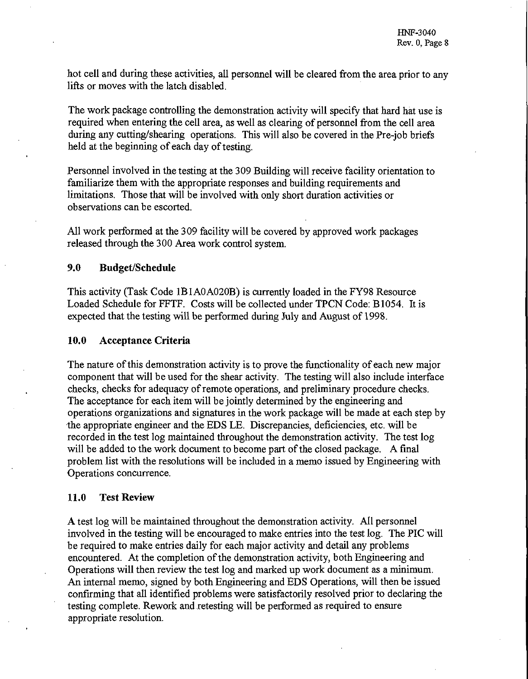hot cell and during these activities, all personnel will be cleared from the area prior to any lifts or moves with the latch disabled.

The work package controlling the demonstration activity will specify that hard hat use is required when entering the cell area, as well as clearing of personnel from the cell area during any cutting/shearing operations. This will also be covered in the Pre-job briefs held at the beginning of each day of testing.

Personnel involved in the testing at the 309 Building will receive facility orientation to familiarize them with the appropriate responses and building requirements and limitations. Those that will be involved with only short duration activities or observations can be escorted.

All work performed at the 309 facility will be covered by approved work packages released through the 300 Area work control system.

# **9.0 Budget/Schedule**

This activity (Task Code 1B1A0A020B) is currently loaded in the FY98 Resource Loaded Schedule for FFTF. Costs will be collected under TPCN Code: B1054. It is expected that the testing will be performed during July and August of 1998.

### **10.0 Acceptance Criteria**

The nature of this demonstration activity is to prove the functionality of each new major component that will be used for the shear activity. The testing will also include interface checks, checks for adequacy of remote operations, and preliminary procedure checks. The acceptance for each item will be jointly determined by the engineering and operations organizations and signatures in the work package will be made at each step by the appropriate engineer and the EDS LE. Discrepancies, deficiencies, etc. will be recorded in the test log maintained throughout the demonstration activity. The test log will be added to the work document to become part of the closed package. A final problem list with the resolutions will be included in a memo issued by Engineering with Operations concurrence.

#### **11.0 Test Review**

A test log will be maintained throughout the demonstration activity. All personnel involved in the testing will be encouraged to make entries into the test log. The PIC will be required to make entries daily for each major activity and detail any problems encountered. At the completion of the demonstration activity, both Engineering and Operations will then review the test log and marked up work document as a minimum. An internal memo, signed by both Engineering and EDS Operations, will then be issued confirming that all identified problems were satisfactorily resolved prior to declaring the testing complete. Rework and retesting will be performed as required to ensure appropriate resolution.